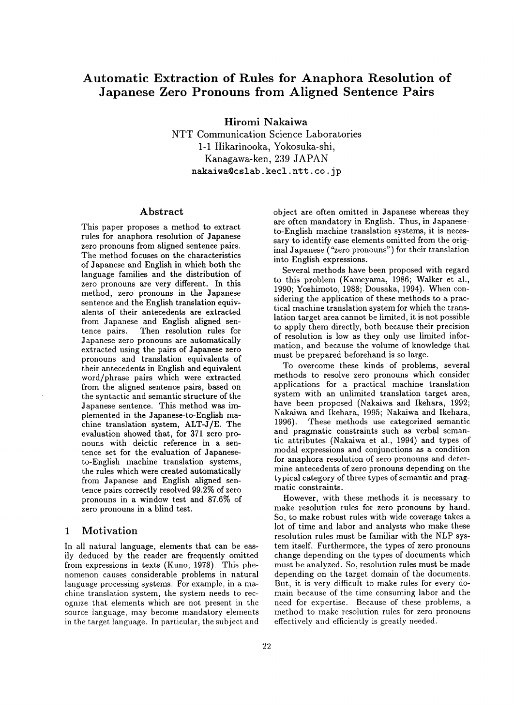# **Automatic Extraction of Rules for Anaphora Resolution of Japanese Zero Pronouns from Aligned Sentence Pairs**

**Hiromi Nakaiwa** 

NTT Communication Science Laboratories 1-1 Hikarinooka, Yokosuka-shi, Kanagawa-ken, 239 JAPAN nakaiwa@cslab.kecl.ntt.co.jp

## **Abstract**

This paper proposes a method to extract rules for anaphora resolution of Japanese zero pronouns from aligned sentence pairs. The method focuses on the characteristics of Japanese and English in which both the language families and the distribution of zero pronouns are very different. In this method, zero pronouns in the Japanese sentence and the English translation equivalents of their antecedents are extracted from Japanese and English aligned sentence pairs. Then resolution rules for Japanese zero pronouns are automatically extracted using the pairs of Japanese zero pronouns and translation equivalents of their antecedents in English and equivalent word/phrase pairs which were extracted from the aligned sentence pairs, based on the syntactic and semantic structure of the Japanese sentence. This method was implemented in the Japanese-to-English machine translation system, ALT-J/E. The evaluation showed that, for 371 zero pronouns with deictic reference in a sentence set for the evaluation of Japaneseto-English machine translation systems, the rules which were created automatically from Japanese and English aligned sentence pairs correctly resolved 99.2% of zero pronouns in a window test and 87.6% of zero pronouns in a blind test.

## **1 Motivation**

In all natural language, elements that can be easily deduced by the reader are frequently omitted from expressions in texts (Kuno, 1978). This phenomenon causes considerable problems in natural language processing systems. For example, in a machine translation system, the system needs to recognize that elements which are not present in the source language, may become mandatory elements in the target language. In particular, the subject and

object are often omitted in Japanese whereas they are often mandatory in English. Thus, in Japaneseto-English machine translation systems, it is necessary to identify case elements omitted from the original Japanese ("zero pronouns") for their translation into English expressions.

Several methods have been proposed with regard to this problem (Kameyama, 1986; Walker et al., 1990; Yoshimoto, 1988; Dousaka, 1994). When considering the application of these methods to a practical machine translation system for which the translation target area cannot be limited, it is not possible to apply them directly, both because their precision of resolution is low as they only use limited information, and because the volume of knowledge that must be prepared beforehand is so large.

To overcome these kinds of problems, several methods to resolve zero pronouns which consider applications for a practical machine translation system with an unlimited translation target area, have been proposed (Nakaiwa and Ikehara, 1992; Nakaiwa and Ikehara, 1995; Nakaiwa and Ikehara, These methods use categorized semantic and pragmatic constraints such as verbal semantic attributes (Nakaiwa et al., 1994) and types of modal expressions and conjunctions as a condition for anaphora resolution of zero pronouns and determine antecedents of zero pronouns depending on the typical category of three types of semantic and pragmatic constraints.

However, with these methods it is necessary to make resolution rules for zero pronouns by hand. So, to make robust rules with wide coverage takes a lot of time and labor and analysts who make these resolution rules must be familiar with the NLP system itself. Furthermore, the types of zero pronouns change depending on the types of documents which must be analyzed. So, resolution rules must be made depending on the target domain of the documents. But, it is very difficult to make rules for every domain because of the time consuming labor and the need for expertise. Because of these problems, a method to make resolution rules for zero pronouns effectively and efficiently is greatly needed.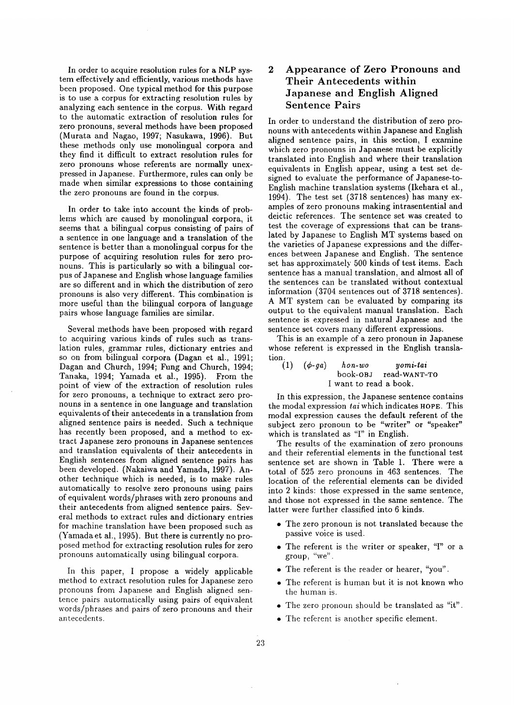In order to acquire resolution rules for a NLP system effectively and efficiently, various methods have been proposed. One typical method for this purpose is to use a corpus for extracting resolution rules by analyzing each sentence in the corpus. With regard to the automatic extraction of resolution rules for zero pronouns, several methods have been proposed (Murata and Nagao, 1997; Nasukawa, 1996). But these methods only use monolingual corpora and they find it difficult to extract resolution rules for zero pronouns whose referents are normally unexpressed in Japanese. Furthermore, rules can only be made when similar expressions to those containing the zero pronouns are found in the corpus.

In order to take into account the kinds of problems which are caused by monolingual corpora, it seems that a bilingual corpus consisting of pairs of a sentence in one language and a translation of the sentence is better than a monolingual corpus for the purpose of acquiring resolution rules for zero pronouns. This is particularly so with a bilingual corpus of Japanese and English whose language families are so different and in which the distribution of zero pronouns is also very different. This combination is more useful than the bilingual corpora of language pairs whose language families are similar.

Several methods have been proposed with regard to acquiring various kinds of rules such as translation rules, grammar rules, dictionary entries and so on from bilingual corpora (Dagan et al., 1991; Dagan and Church, 1994; Fung and Church, 1994; Tanaka, 1994; Yamada et al., 1995). From the point of view of the extraction of resolution rules for zero pronouns, a technique to extract zero pronouns in a sentence in one language and translation equivalents of their antecedents in a translation from aligned sentence pairs is needed. Such a technique has recently been proposed, and a method to extract Japanese zero pronouns in Japanese sentences and translation equivalents of their antecedents in English sentences from aligned sentence pairs has been developed. (Nakaiwa and Yamada, 1997). Another technique which is needed, is to make rules automatically to resolve zero pronouns using pairs of equivalent words/phrases with zero pronouns and their antecedents from aligned sentence pairs. Several methods to extract rules and dictionary entries for machine translation have been proposed such as (Yamada et al., 1995). But there is currently no proposed method for extracting resolution rules for zero pronouns automatically using bilingual corpora.

In this paper, I propose a widely applicable method to extract resolution rules for Japanese zero pronouns from Japanese and English aligned sentence pairs automatically using pairs of equivalent words/phrases and pairs of zero pronouns and their antecedents.

## 2 Appearance of Zero Pronouns and Their Antecedents within Japanese and English Aligned Sentence Pairs

In order to understand the distribution of zero pronouns with antecedents within Japanese and English aligned sentence pairs, in this section, I examine which zero pronouns in Japanese must be explicitly translated into English and where their translation equivalents in English appear, using a test set designed to evaluate the performance of Japanese-to-English machine translation systems (Ikehara et al., 1994). The test set (3718 sentences) has many examples of zero pronouns making intrasentential and deictic references. The sentence set was created to test the coverage of expressions that can be translated by Japanese to English MT systems based on the varieties of Japanese expressions and the differences between Japanese and English. The sentence set has approximately 500 kinds of test items. Each sentence has a manual translation, and almost all of the sentences can be translated without contextual information (3704 sentences out of 3718 sentences). A MT system can be evaluated by comparing its output to the equivalent manual translation. Each sentence is expressed in natural Japanese and the sentence set covers many different expressions.

This is an example of a zero pronoun in Japanese whose referent is expressed in the English translation.

| (1) | $(\phi$ -ga) | hon-wo                 | $v$ omi-tai           |
|-----|--------------|------------------------|-----------------------|
|     |              |                        | book-0BJ read-WANT-TO |
|     |              | I want to read a book. |                       |

In this expression, the Japanese sentence contains the modal expression *tai* which indicates HOPE. This modal expression causes the default referent of the subject zero pronoun to be "writer" or "speaker" which is translated as "I" in English.

The results of the examination of zero pronouns and their referential elements in the functional test sentence set are shown in Table 1. There were a total of 525 zero pronouns in 463 sentences. The location of the referential elements can be divided into 2 kinds: those expressed in the same sentence, and those not expressed in the same sentence. The latter were further classified into 6 kinds.

- The zero pronoun is not translated because the passive voice is used.
- The referent is the writer or speaker, "I" or a group, "we".
- The referent is the reader or hearer, "you".
- The referent is human but it is not known who the human is.
- The zero pronoun should be translated as "it".
- The referent is another specific element.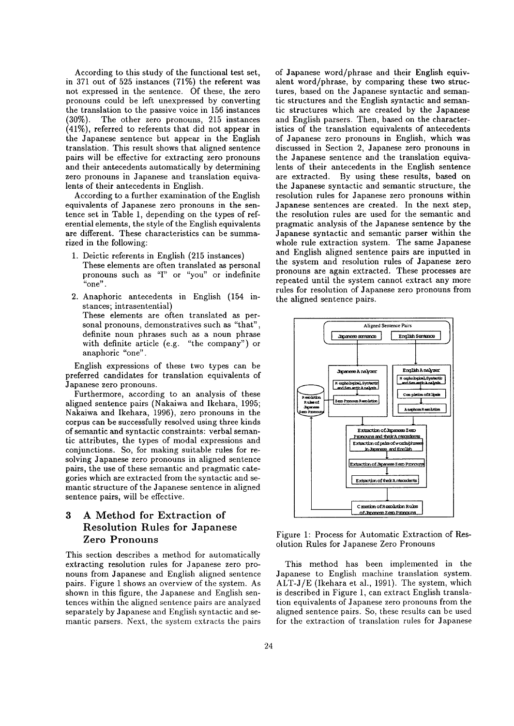According to this study of the functional test set, in 371 out of 525 instances (71%) the referent was not expressed in the sentence. Of these, the zero pronouns could be left unexpressed by converting the translation to the passive voice in 156 instances (30%). The other zero pronouns, 215 instances (41%), referred to referents that did not appear in the Japanese sentence but appear in the English translation. This result shows that aligned sentence pairs will be effective for extracting zero pronouns and their antecedents automatically by determining zero pronouns in Japanese and translation equivalents of their antecedents in English.

According to a further examination of the English equivalents of Japanese zero pronouns in the sentence set in Table 1, depending on the types of referential elements, the style of the English equivalents are different. These characteristics can be summarized in the following:

- 1. Deictic referents in English (215 instances) These elements are often translated as personal pronouns such as 'T' or "you" or indefinite "one".
- 2. Anaphoric antecedents in English (154 instances; intrasentential) These elements are often translated as personal pronouns, demonstratives such as "that", definite noun phrases such as a noun phrase with definite article (e.g. "the company") or anaphoric "one".

English expressions of these two types can be preferred candidates for translation equivalents of Japanese zero pronouns.

Furthermore, according to an analysis of these aligned sentence pairs (Nakaiwa and Ikehara, 1995; Nakaiwa and Ikehara, 1996), zero pronouns in the corpus can be successfully resolved using three kinds of semantic and syntactic constraints: verbal semantic attributes, the types of modal expressions and conjunctions. So, for making suitable rules for resolving Japanese zero pronouns in aligned sentence pairs, the use of these semantic and pragmatic categories which are extracted from the syntactic and semantic structure of the Japanese sentence in aligned sentence pairs, will be effective.

## **3** A Method for Extraction of Resolution Rules for Japanese Zero Pronouns

This section describes a method for automatically extracting resolution rules for Japanese zero pronouns from Japanese and English aligned sentence pairs. Figure 1 shows an overview of the system. As shown in this figure, the Japanese and English sentences within the aligned sentence pairs are analyzed separately by Japanese and English syntactic and semantic parsers. Next, the system extracts the pairs of Japanese word/phrase and their English equivalent word/phrase, by comparing these two structures, based on the Japanese syntactic and semantic structures and the English syntactic and semantic structures which are created by the Japanese and English parsers. Then, based on the characteristics of the translation equivalents of antecedents of Japanese zero pronouns in English, which was discussed in Section 2, Japanese zero pronouns in the Japanese sentence and the translation equivalents of their antecedents in the English sentence are extracted. By using these results, based on the Japanese syntactic and semantic structure, the resolution rules for Japanese zero pronouns within Japanese sentences are created. In the next step, the resolution rules are used for the semantic and pragmatic analysis of the Japanese sentence by the Japanese syntactic and semantic parser within the whole rule extraction system. The same Japanese and English aligned sentence pairs are inputted in the system and resolution rules of Japanese zero pronouns are again extracted. These processes are repeated until the system cannot extract any more rules for resolution of Japanese zero pronouns from the aligned sentence pairs.



Figure 1: Process for Automatic Extraction of Resolution Rules for Japanese Zero Pronouns

This method has been implemented in the Japanese to English machine translation system. ALT-J/E (Ikehara et al., 1991). The system, which is described in Figure 1, can extract English translation equivalents of Japanese zero pronouns from the aligned sentence pairs. So, these results can be used for the extraction of translation rules for Japanese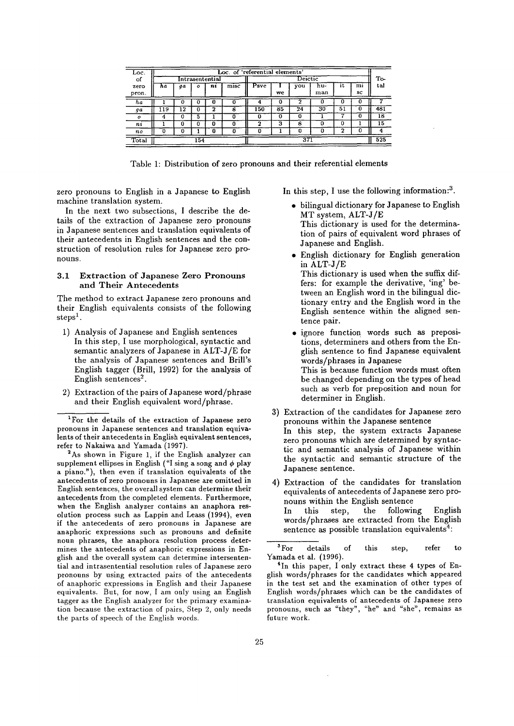| Loc.             | Loc. of 'referential elements' |    |     |         |      |      |    |     |            |    |          |     |
|------------------|--------------------------------|----|-----|---------|------|------|----|-----|------------|----|----------|-----|
| of               | Intrasentential                |    |     | Deictic |      |      |    | To- |            |    |          |     |
| zero<br>pron.    | ha                             | qα | ο   | nı      | misc | Psve | we | vou | hu-<br>man | ıt | mi<br>sc | tal |
| na               |                                | 0  |     | υ       |      | 4    | 0  |     |            |    |          |     |
| ga               | 19                             | 12 | o   | 2       | 8    | 150  | 85 | 24  | 30         | 51 | U        | 481 |
| $\boldsymbol{o}$ |                                | 0  | 5   |         | o    | n    | 0  | o   |            |    |          | 18  |
| nı               |                                | 0  | o   | o       |      | 2    | 3  | R   |            | 0  |          | 15  |
| n <sub>o</sub>   |                                | 0  |     | O       |      | o    |    | n   |            | ົ  |          |     |
| Total            |                                |    | 154 |         |      |      |    | 371 |            |    |          | 525 |

Table 1: Distribution of zero pronouns and their referential elements

zero pronouns to English in a Japanese to English machine translation system.

In the next two subsections, I describe the details of the extraction of Japanese zero pronouns in Japanese sentences and translation equivalents of their antecedents in English sentences and the construction of resolution rules for Japanese zero pronouns.

#### 3.1 Extraction of Japanese Zero Pronouns and Their Antecedents

The method to extract Japanese zero pronouns and their English equivalents consists of the following  $\mathrm{steps}^1$ .

- 1) Analysis of Japanese and English sentences In this step, I use morphological, syntactic and semantic analyzers of Japanese in ALT-J/E for the analysis of Japanese sentences and Brill's English tagger (Brill, 1992) for the analysis of English sentences<sup>2</sup>.
- 2) Extraction of the pairs of Japanese word/phrase and their English equivalent word/phrase.

2As shown in Figure 1, if the English analyzer can supplement ellipses in English *("I* sing a song and ¢ play a piano."), then even if translation equivalents of the antecedents of zero pronouns in Japanese are omitted in English sentences, the overall system can determine their antecedents from the completed elements. Furthermore, when the English analyzer contains an anaphora resolution process such as Lappin and Leass (1994), even if the antecedents of zero pronouns in Japanese are anaphoric expressions such as pronouns and definite noun phrases, the anaphora resolution process determines the antecedents of anaphoric expressions in English and the overall system can determine intersentential and intrasentential resolution rules of Japanese zero pronouns by using extracted pairs of the antecedents of anaphoric expressions in English and their Japanese equivalents. But, for now, I am only using an English tagger as the English analyzer for the primary examination because the extraction of pairs, Step 2, only needs the parts of speech of the English words.

In this step, I use the following information:<sup>3</sup>.

- bilingual dictionary for Japanese to English MT system, ALT-J/E This dictionary is used for the determination of pairs of equivalent word phrases of Japanese and English.
- English dictionary for English generation in ALT-J/E This dictionary is used when the suffix differs: for example the derivative, 'ing' between an English word in the bilingual dictionary entry and the English word in the English sentence within the aligned sentence pair.
- ignore function words such as prepositions, determiners and others from the English sentence to find Japanese equivalent words/phrases in Japanese This is because function words must often be changed depending on the types of head such as verb for preposition and noun for determiner in English.
- 3) Extraction of the candidates for Japanese zero pronouns within the Japanese sentence In this step, the system extracts Japanese zero pronouns which are determined by syntactic and semantic analysis of Japanese within the syntactic and semantic structure of the Japanese sentence.
- 4) Extraction of the candidates for translation equivalents of antecedents of Japanese zero pronouns within the English sentence In this step, the following English words/phrases are extracted from the English sentence as possible translation equivalents<sup>4</sup>:

<sup>3</sup>For details of this step, refer to Yamada et al. (1996).

<sup>4</sup>In this paper, I only extract these 4 types of English words/phrases for the candidates which appeared in the test set and the examination of other types of English words/phrases which can be the candidates of translation equivalents of antecedents of Japanese zero pronouns, such as "they", *"he"* and "she", remains as future work.

<sup>1</sup>For the details of the extraction of Japanese zero pronouns in Japanese sentences and translation equivalents of their antecedents in English equivalent sentences, refer to Nakaiwa and Yamada (1997).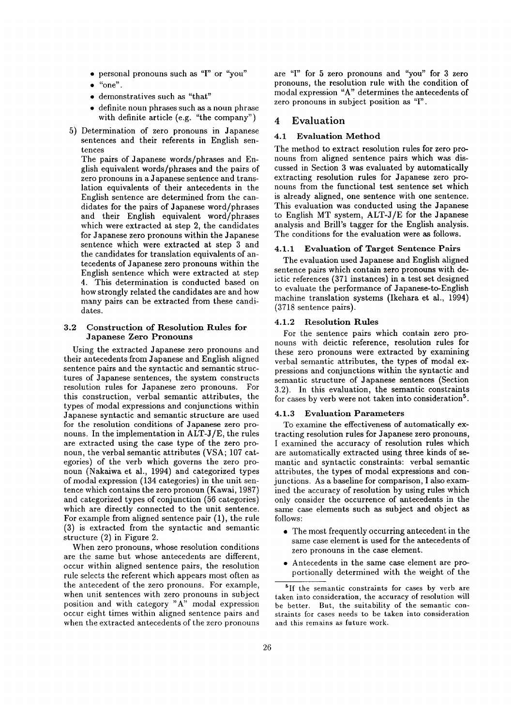- personal pronouns such as 'T' or "you"
- $\bullet$  "one".
- demonstratives such as "that"
- definite noun phrases such as a noun phrase with definite article (e.g. "the company")
- 5) Determination of zero pronouns in Japanese sentences and their referents in English sentences

The pairs of Japanese words/phrases and English equivalent words/phrases and the pairs of zero pronouns in a Japanese sentence and translation equivalents of their antecedents in the English sentence are determined from the candidates for the pairs of Japanese word/phrases and their English equivalent word/phrases which were extracted at step 2, the candidates for Japanese zero pronouns within the Japanese sentence which were extracted at step 3 and the candidates for translation equivalents of antecedents of Japanese zero pronouns within the English sentence which were extracted at step 4. This determination is conducted based on how strongly related the candidates are and how many pairs can be extracted from these candidates.

#### 3.2 Construction of Resolution Rules for Japanese Zero Pronouns

Using the extracted Japanese zero pronouns and their antecedents from Japanese and English aligned sentence pairs and the syntactic and semantic structures of Japanese sentences, the system constructs resolution rules for Japanese zero pronouns. For this construction, verbal semantic attributes, the types of modal expressions and conjunctions within Japanese syntactic and semantic structure are used for the resolution conditions of Japanese zero pronouns. In the implementation in ALT-J/E, the rules are extracted using the case type of the zero pronoun, the verbal semantic attributes (VSA; 107 categories) of the verb which governs the zero pronoun (Nakaiwa et al., 1994) and categorized types of modal expression (134 categories) in the unit sentence which contains the zero pronoun (Kawai, 1987) and categorized types of conjunction (56 categories) which are directly connected to the unit sentence. For example from aligned sentence pair (1), the rule (3) is extracted from the syntactic and semantic structure (2) in Figure 2.

When zero pronouns, whose resolution conditions are the same but whose antecedents are different, occur within aligned sentence pairs, the resolution rule selects the referent which appears most often as the antecedent of the zero pronouns. For example, when unit sentences with zero pronouns in subject position and with category  $A^{\prime\prime}$  modal expression occur eight times within aligned sentence pairs and when the extracted antecedents of the zero pronouns

are 'T' for 5 zero pronouns and "you" for 3 zero pronouns, the resolution rule with the condition of modal expression "A" determines the antecedents of zero pronouns in subject position as 'T'.

## 4 Evaluation

## **4.1 Evaluation Method**

The method to extract resolution rules for zero pronouns from aligned sentence pairs which was discussed in Section 3 was evaluated by automatically extracting resolution rules for Japanese zero pronouns from the functional test sentence set which is already aligned, one sentence with one sentence. This evaluation was conducted using the Japanese to English MT system, ALT-J/E for the Japanese analysis and Brill's tagger for the English analysis. The conditions for the evaluation were as follows.

#### 4.1.1 Evaluation of Target Sentence Pairs

The evaluation used Japanese and English aligned sentence pairs which contain zero pronouns with deictic references (371 instances) in a test set designed to evaluate the performance of Japanese-to-English machine translation systems (Ikehara et al., 1994) (3718 sentence pairs).

#### 4.1.2 Resolution Rules

For the sentence pairs which contain zero pronouns with deictic reference, resolution rules for these zero pronouns were extracted by examining verbal semantic attributes, the types of modal expressions and conjunctions within the syntactic and semantic structure of Japanese sentences (Section 3.2). In this evaluation, the semantic constraints for cases by verb were not taken into consideration<sup>5</sup>.

#### 4.1.3 Evaluation Parameters

To examine the effectiveness of automatically extracting resolution rules for Japanese zero pronouns, I examined the accuracy of resolution rules which are automatically extracted using three kinds of semantic and syntactic constraints: verbal semantic attributes, the types of modal expressions and conjunctions. As a baseline for comparison, I also examined the accuracy of resolution by using rules which only consider the occurrence of antecedents in the same case elements such as subject and object as follows:

- The most frequently occurring antecedent in the same case element is used for the antecedents of zero pronouns in the case element.
- Antecedents in the same case element are proportionally determined with the weight of the

<sup>&</sup>lt;sup>5</sup>If the semantic constraints for cases by verb are taken into consideration, the accuracy of resolution will be better. But, the suitability of the semantic constraints for cases needs to be taken into consideration and this remains as future work.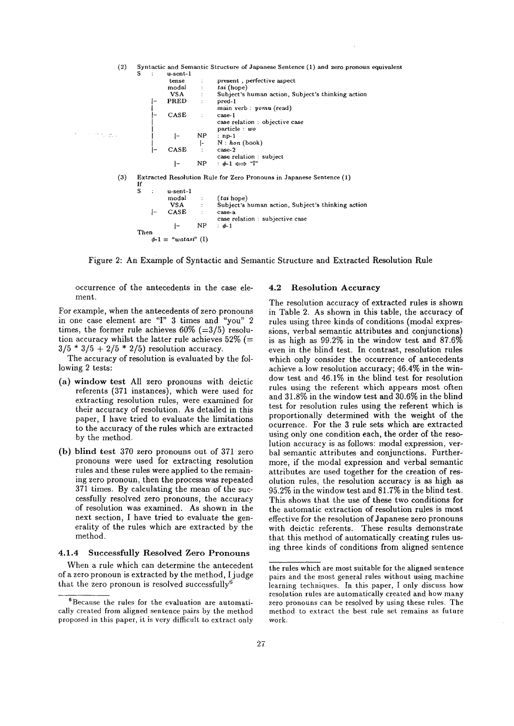

Figure 2: An Example of Syntactic and Semantic Structure and Extracted Resolution Rule

occurrence of the antecedents in the case element.

For example, when the antecedents of zero pronouns in one case element are 'T' 3 times and "you" 2 times, the former rule achieves  $60\%$  (=3/5) resolution accuracy whilst the latter rule achieves  $52\%$  (=  $3/5 * 3/5 + 2/5 * 2/5$  resolution accuracy.

The accuracy of resolution is evaluated by the following 2 tests:

- (a) window test All zero pronouns with deictic referents (371 instances), which were used for extracting resolution rules, were examined for their accuracy of resolution. As detailed in this paper, I have tried to evaluate the limitations to the accuracy of the rules which are extracted by the method.
- (b) blind test 370 zero pronouns out of 371 zero pronouns were used for extracting resolution rules and these rules were applied to the remaining zero pronoun, then the process was repeated 371 times. By calculating the mean of the successfully resolved zero pronouns, the accuracy of resolution was examined. As shown in the next section, I have tried to evaluate the generality of the rules which are extracted by the method.

### 4.1.4 Successfully Resolved Zero Pronouns

When a rule which can determine the antecedent of a zero pronoun is extracted by the method, I judge that the zero pronoun is resolved successfully<sup>6</sup>

#### 4.2 Resolution Accuracy

The resolution accuracy of extracted rules is shown in Table 2. As shown in this table, the accuracy of rules using three kinds of conditions (modal expressions, verbal semantic attributes and conjunctions) is as high as 99.2% in the window test and 87.6% even in the blind test. In contrast, resolution rules which only consider the occurrence of antecedents achieve a low resolution accuracy; 46.4% in the window test and 46.1% in the blind test for resolution rules using the referent which appears most often and 31.8% in the window test and 30.6% in the blind test for resolution rules using the referent which is proportionally determined with the weight of the ocurrence. For the 3 rule sets which are extracted using only one condition each, the order of the resolution accuracy is as follows: modal expression, verbal semantic attributes and conjunctions. Furthermore, if the modal expression and verbal semantic attributes are used together for the creation of resolution rules, the resolution accuracy is as high as 95.2% in the window test and 81.7% in the blind test. This shows that the use of these two conditions for the automatic extraction of resolution rules is most effective for the resolution of Japanese zero pronouns with deictic referents. These results demonstrate that this method of automatically creating rules using three kinds of conditions from aligned sentence

<sup>6</sup>Because the rules for the evaluation are automatically created from aligned sentence pairs by the method proposed in this paper, it is very difficult to extract only

the rules which are most suitable for the aligned sentence pairs and the most general rules without using machine learning techniques. In this paper, I only discuss how resolution rules are automatically created and how many zero pronouns can be resolved by using these rules. The method to extract the best rule set remains as future work.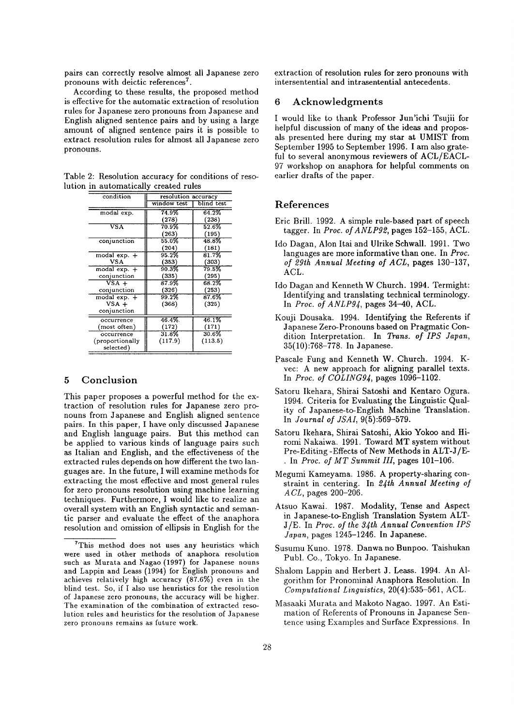pairs can correctly resolve almost all Japanese zero pronouns with deictic references<sup>7</sup>.

According to these results, the proposed method is effective for the automatic extraction of resolution rules for Japanese zero pronouns from Japanese and English aligned sentence pairs and by using a large amount of aligned sentence pairs it is possible to extract resolution rules for almost all Japanese zero pronouns.

Table 2: Resolution accuracy for conditions of resolution in automatically created rules

| condition       | resolution accuracy |            |  |  |  |
|-----------------|---------------------|------------|--|--|--|
|                 | window test         | blind test |  |  |  |
| modal exp.      | 74.9%               | 64.2%      |  |  |  |
|                 | (278)               | (238)      |  |  |  |
| VSA             | 70.9%               | 52.6%      |  |  |  |
|                 | (263)               | (195)      |  |  |  |
| conjunction     | 55.0%               | 48.8%      |  |  |  |
|                 | (204)               | (181)      |  |  |  |
| modal exp. +    | 95.2%               | 81.7%      |  |  |  |
| <b>VSA</b>      | (353)               | (303)      |  |  |  |
| modal exp. +    | 90.3%               | 79.5%      |  |  |  |
| conjunction     | (335)               | (295)      |  |  |  |
| $VSA +$         | 87.9%               | 68.2%      |  |  |  |
| conjunction     | (326)               | (253)      |  |  |  |
| modal $exp. +$  | 99.2%               | $87.6\%$   |  |  |  |
| $VSA +$         | (368)               | (325)      |  |  |  |
| conjunction     |                     |            |  |  |  |
| occurrence      | $46.4\%$            | 46.1%      |  |  |  |
| (most often)    | (172)               | (171)      |  |  |  |
| occurrence      | $31.8\%$            | 30.6%      |  |  |  |
| (proportionally | (117.9)             | (113.5)    |  |  |  |
| selected)       |                     |            |  |  |  |

### 5 Conclusion

This paper proposes a powerful method for the extraction of resolution rules for Japanese zero pronouns from Japanese and English aligned sentence pairs. In this paper, I have only discussed Japanese and English language pairs. But this method can be applied to various kinds of language pairs such as Italian and English, and the effectiveness of the extracted rules depends on how different the two languages are. In the future, I will examine methods for extracting the most effective and most general rules for zero pronouns resolution using machine learning techniques. Furthermore, I would like to realize an overall system with an English syntactic and semantic parser and evaluate the effect of the anaphora resolution and omission of ellipsis in English for the

extraction of resolution rules for zero pronouns with intersentential and intrasentential antecedents.

## 6 Acknowledgments

I would like to thank Professor Jun'ichi Tsujii for helpful discussion of many of the ideas and proposals presented here during my star at UMIST from September 1995 to September 1996. I am also grateful to several anonymous reviewers of ACL/EACL-97 workshop on anaphora for helpful comments on earlier drafts of the paper.

## References

- Eric Brill. 1992. A simple rule-based part of speech tagger. In *Proc. of ANLP92,* pages 152-155, ACL.
- Ido Dagan, Alon Itai and Ulrike Schwall. 1991. Two languages are more informative than one. In *Proc. of 29th Annual Meeting of ACL,* pages 130-137, ACL.
- Ido Dagan and Kenneth W Church. 1994. Termight: Identifying and translating technical terminology. In *Proc. of ANLPg4,* pages 34-40, ACL.
- Kouji Dousaka. 1994. Identifying the Referents if Japanese Zero-Pronouns based on Pragmatic Condition Interpretation. In *Trans. of IPS Japan,*  35(10):768-778. In Japanese.
- Pascale Fung and Kenneth W. Church. 1994. Kvec: A new approach for aligning parallel texts. In *Proc. of COLINGg4,* pages 1096-1102.
- Satoru Ikehara, Shirai Satoshi and Kentaro Ogura. 1994. Criteria for Evaluating the Linguistic Quality of Japanese-to-English Machine Translation. In *Journal of JSAI,* 9(5):569-579.
- Satoru Ikehara, Shirai Satoshi, Akio Yokoo and Hiromi Nakalwa. 1991. Toward MT system without Pre-Editing-Effects of New Methods in ALT-J/E-• In *Proc. of MT Summit III,* pages 101-106.
- Megumi Kameyama. 1986. A property-sharing constraint in centering. In *2.{th Annual Meeting of A CL,* pages 200-206.
- Atsuo Kawai. 1987. Modality, Tense and Aspect in Japanese-to-English Translation System ALT-J/E. In *Proc. of the 34th Annual Convention IPS Japan*, pages 1245-1246. In Japanese.
- Susumu Kuno. 1978. Danwa no Bunpoo. Taishukan Puhl. Co., Tokyo. In Japanese.
- Shalom Lappin and Herbert J. Leass. 1994. An Algorithm for Pronominal Anaphora Resolution. In *Computational Linguistics,* 20(4):535-561, ACL.
- Masaaki Murata and Makoto Nagao. 1997. An Estimation of Referents of Pronouns in Japanese Sentence using Examples and Surface Expressions. In

 $T$ This method does not uses any heuristics which were used in other methods of anaphora resolution such as Murata and Nagao (1997) for Japanese nouns and Lappin and Leass (1994) for English pronouns and achieves relatively high accuracy (87.6%) even in the blind test. So, if I also use heuristics for the resolution of Japanese zero pronouns, the accuracy will be higher. The examination of the combination of extracted resolution rules and heuristics for the resolution of Japanese zero pronouns remains as future work.